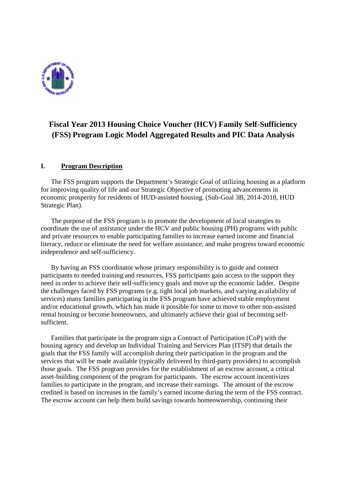

## **Fiscal Year 2013 Housing Choice Voucher (HCV) Family Self-Sufficiency (FSS) Program Logic Model Aggregated Results and PIC Data Analysis**

### **I. Program Description**

The FSS program supports the Department's Strategic Goal of utilizing housing as a platform for improving quality of life and our Strategic Objective of promoting advancements in economic prosperity for residents of HUD-assisted housing. (Sub-Goal 3B, 2014-2018, HUD Strategic Plan).

The purpose of the FSS program is to promote the development of local strategies to coordinate the use of assistance under the HCV and public housing (PH) programs with public and private resources to enable participating families to increase earned income and financial literacy, reduce or eliminate the need for welfare assistance, and make progress toward economic independence and self-sufficiency.

By having an FSS coordinator whose primary responsibility is to guide and connect participants to needed training and resources, FSS participants gain access to the support they need in order to achieve their self-sufficiency goals and move up the economic ladder. Despite the challenges faced by FSS programs (e.g. tight local job markets, and varying availability of services) many families participating in the FSS program have achieved stable employment and/or educational growth, which has made it possible for some to move to other non-assisted rental housing or become homeowners, and ultimately achieve their goal of becoming selfsufficient.

Families that participate in the program sign a Contract of Participation (CoP) with the housing agency and develop an Individual Training and Services Plan (ITSP) that details the goals that the FSS family will accomplish during their participation in the program and the services that will be made available (typically delivered by third-party providers) to accomplish those goals. The FSS program provides for the establishment of an escrow account, a critical asset-building component of the program for participants. The escrow account incentivizes families to participate in the program, and increase their earnings. The amount of the escrow credited is based on increases in the family's earned income during the term of the FSS contract. The escrow account can help them build savings towards homeownership, continuing their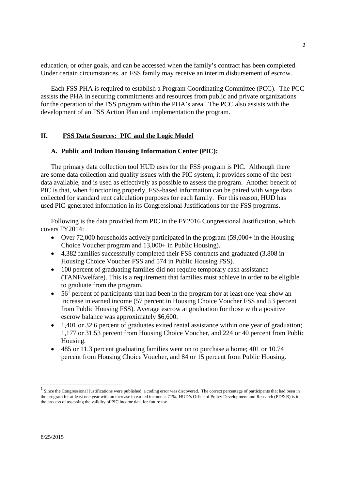education, or other goals, and can be accessed when the family's contract has been completed. Under certain circumstances, an FSS family may receive an interim disbursement of escrow.

Each FSS PHA is required to establish a Program Coordinating Committee (PCC). The PCC assists the PHA in securing commitments and resources from public and private organizations for the operation of the FSS program within the PHA's area. The PCC also assists with the development of an FSS Action Plan and implementation the program.

#### **II. FSS Data Sources: PIC and the Logic Model**

#### **A. Public and Indian Housing Information Center (PIC):**

The primary data collection tool HUD uses for the FSS program is PIC. Although there are some data collection and quality issues with the PIC system, it provides some of the best data available, and is used as effectively as possible to assess the program. Another benefit of PIC is that, when functioning properly, FSS-based information can be paired with wage data collected for standard rent calculation purposes for each family. For this reason, HUD has used PIC-generated information in its Congressional Justifications for the FSS programs.

Following is the data provided from PIC in the FY2016 Congressional Justification, which covers FY2014:

- Over 72,000 households actively participated in the program  $(59,000+)$  in the Housing Choice Voucher program and 13,000+ in Public Housing).
- 4,382 families successfully completed their FSS contracts and graduated (3,808 in Housing Choice Voucher FSS and 574 in Public Housing FSS).
- 100 percent of graduating families did not require temporary cash assistance (TANF/welfare). This is a requirement that families must achieve in order to be eligible to graduate from the program.
- $\bullet$  56<sup>1</sup> percent of participants that had been in the program for at least one year show an increase in earned income (57 percent in Housing Choice Voucher FSS and 53 percent from Public Housing FSS). Average escrow at graduation for those with a positive escrow balance was approximately \$6,600.
- 1,401 or 32.6 percent of graduates exited rental assistance within one year of graduation; 1,177 or 31.53 percent from Housing Choice Voucher, and 224 or 40 percent from Public Housing.
- 485 or 11.3 percent graduating families went on to purchase a home; 401 or 10.74 percent from Housing Choice Voucher, and 84 or 15 percent from Public Housing.

 $<sup>1</sup>$  Since the Congressional Justifications were published, a coding error was discovered. The correct percentage of participants that had been in</sup> the program for at least one year with an increase in earned income is 71%. HUD's Office of Policy Development and Research (PD& R) is in the process of assessing the validity of PIC income data for future use.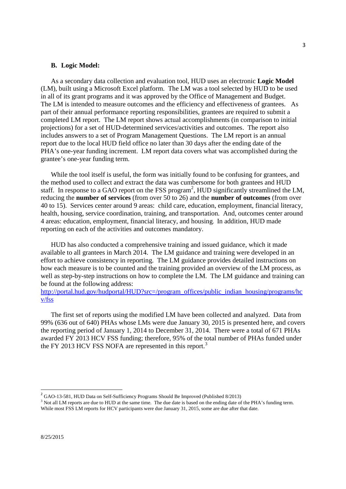#### **B. Logic Model:**

As a secondary data collection and evaluation tool, HUD uses an electronic **Logic Model** (LM), built using a Microsoft Excel platform. The LM was a tool selected by HUD to be used in all of its grant programs and it was approved by the Office of Management and Budget. The LM is intended to measure outcomes and the efficiency and effectiveness of grantees. As part of their annual performance reporting responsibilities, grantees are required to submit a completed LM report. The LM report shows actual accomplishments (in comparison to initial projections) for a set of HUD-determined services/activities and outcomes. The report also includes answers to a set of Program Management Questions. The LM report is an annual report due to the local HUD field office no later than 30 days after the ending date of the PHA's one-year funding increment. LM report data covers what was accomplished during the grantee's one-year funding term.

While the tool itself is useful, the form was initially found to be confusing for grantees, and the method used to collect and extract the data was cumbersome for both grantees and HUD staff. In response to a GAO report on the FSS program<sup>2</sup>, HUD significantly streamlined the LM, reducing the **number of services** (from over 50 to 26) and the **number of outcomes** (from over 40 to 15). Services center around 9 areas: child care, education, employment, financial literacy, health, housing, service coordination, training, and transportation. And, outcomes center around 4 areas: education, employment, financial literacy, and housing. In addition, HUD made reporting on each of the activities and outcomes mandatory.

HUD has also conducted a comprehensive training and issued guidance, which it made available to all grantees in March 2014. The LM guidance and training were developed in an effort to achieve consistency in reporting. The LM guidance provides detailed instructions on how each measure is to be counted and the training provided an overview of the LM process, as well as step-by-step instructions on how to complete the LM. The LM guidance and training can be found at the following address:

http://portal.hud.gov/hudportal/HUD?src=/program\_offices/public\_indian\_housing/programs/hc v/fss

The first set of reports using the modified LM have been collected and analyzed. Data from 99% (636 out of 640) PHAs whose LMs were due January 30, 2015 is presented here, and covers the reporting period of January 1, 2014 to December 31, 2014. There were a total of 671 PHAs awarded FY 2013 HCV FSS funding; therefore, 95% of the total number of PHAs funded under the FY 2013 HCV FSS NOFA are represented in this report.<sup>3</sup>

<sup>&</sup>lt;sup>2</sup> GAO-13-581, HUD Data on Self-Sufficiency Programs Should Be Improved (Published 8/2013)

<sup>&</sup>lt;sup>3</sup> Not all LM reports are due to HUD at the same time. The due date is based on the ending date of the PHA's funding term. While most FSS LM reports for HCV participants were due January 31, 2015, some are due after that date.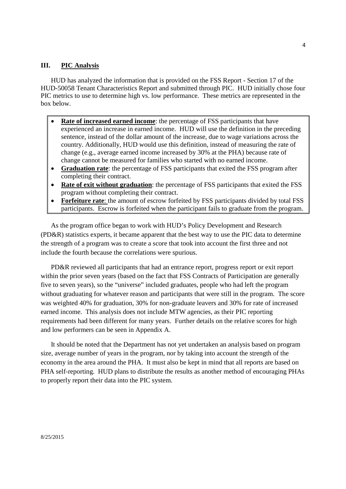#### **III. PIC Analysis**

HUD has analyzed the information that is provided on the FSS Report - Section 17 of the HUD-50058 Tenant Characteristics Report and submitted through PIC. HUD initially chose four PIC metrics to use to determine high vs. low performance. These metrics are represented in the box below.

- **Rate of increased earned income**: the percentage of FSS participants that have experienced an increase in earned income. HUD will use the definition in the preceding sentence, instead of the dollar amount of the increase, due to wage variations across the country. Additionally, HUD would use this definition, instead of measuring the rate of change (e.g., average earned income increased by 30% at the PHA) because rate of change cannot be measured for families who started with no earned income.
- **Graduation rate**: the percentage of FSS participants that exited the FSS program after completing their contract.
- **Rate of exit without graduation:** the percentage of FSS participants that exited the FSS program without completing their contract.
- **Forfeiture rate**: the amount of escrow forfeited by FSS participants divided by total FSS participants. Escrow is forfeited when the participant fails to graduate from the program.

As the program office began to work with HUD's Policy Development and Research (PD&R) statistics experts, it became apparent that the best way to use the PIC data to determine the strength of a program was to create a score that took into account the first three and not include the fourth because the correlations were spurious.

PD&R reviewed all participants that had an entrance report, progress report or exit report within the prior seven years (based on the fact that FSS Contracts of Participation are generally five to seven years), so the "universe" included graduates, people who had left the program without graduating for whatever reason and participants that were still in the program. The score was weighted 40% for graduation, 30% for non-graduate leavers and 30% for rate of increased earned income. This analysis does not include MTW agencies, as their PIC reporting requirements had been different for many years. Further details on the relative scores for high and low performers can be seen in Appendix A.

It should be noted that the Department has not yet undertaken an analysis based on program size, average number of years in the program, nor by taking into account the strength of the economy in the area around the PHA. It must also be kept in mind that all reports are based on PHA self-reporting. HUD plans to distribute the results as another method of encouraging PHAs to properly report their data into the PIC system.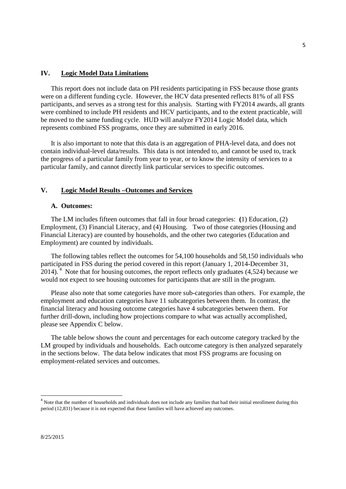#### **IV. Logic Model Data Limitations**

This report does not include data on PH residents participating in FSS because those grants were on a different funding cycle. However, the HCV data presented reflects 81% of all FSS participants, and serves as a strong test for this analysis. Starting with FY2014 awards, all grants were combined to include PH residents and HCV participants, and to the extent practicable, will be moved to the same funding cycle. HUD will analyze FY2014 Logic Model data, which represents combined FSS programs, once they are submitted in early 2016.

It is also important to note that this data is an aggregation of PHA-level data, and does not contain individual-level data/results. This data is not intended to, and cannot be used to, track the progress of a particular family from year to year, or to know the intensity of services to a particular family, and cannot directly link particular services to specific outcomes.

#### **V. Logic Model Results –Outcomes and Services**

#### **A. Outcomes:**

The LM includes fifteen outcomes that fall in four broad categories: **(**1) Education, (2) Employment, (3) Financial Literacy, and (4) Housing. Two of those categories (Housing and Financial Literacy) are counted by households, and the other two categories (Education and Employment) are counted by individuals.

The following tables reflect the outcomes for 54,100 households and 58,150 individuals who participated in FSS during the period covered in this report (January 1, 2014-December 31,  $2014$ ). <sup>4</sup> Note that for housing outcomes, the report reflects only graduates (4,524) because we would not expect to see housing outcomes for participants that are still in the program.

Please also note that some categories have more sub-categories than others. For example, the employment and education categories have 11 subcategories between them. In contrast, the financial literacy and housing outcome categories have 4 subcategories between them. For further drill-down, including how projections compare to what was actually accomplished, please see Appendix C below.

The table below shows the count and percentages for each outcome category tracked by the LM grouped by individuals and households. Each outcome category is then analyzed separately in the sections below. The data below indicates that most FSS programs are focusing on employment-related services and outcomes.

<sup>&</sup>lt;sup>4</sup> Note that the number of households and individuals does not include any families that had their initial enrollment during this period (12,831) because it is not expected that these families will have achieved any outcomes.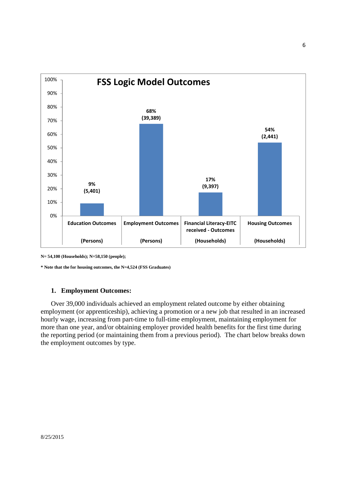

**N= 54,100 (Households); N=58,150 (people);**

**\* Note that the for housing outcomes, the N=4,524 (FSS Graduates)**

#### **1. Employment Outcomes:**

Over 39,000 individuals achieved an employment related outcome by either obtaining employment (or apprenticeship), achieving a promotion or a new job that resulted in an increased hourly wage, increasing from part-time to full-time employment, maintaining employment for more than one year, and/or obtaining employer provided health benefits for the first time during the reporting period (or maintaining them from a previous period). The chart below breaks down the employment outcomes by type.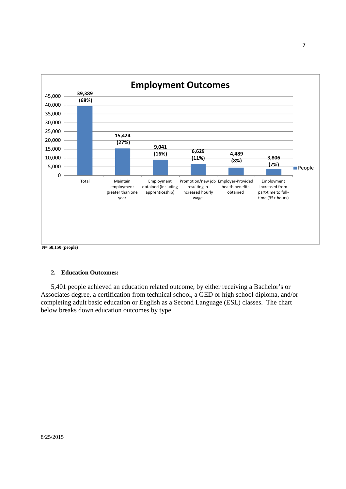

#### **2. Education Outcomes:**

5,401 people achieved an education related outcome, by either receiving a Bachelor's or Associates degree, a certification from technical school, a GED or high school diploma, and/or completing adult basic education or English as a Second Language (ESL) classes. The chart below breaks down education outcomes by type.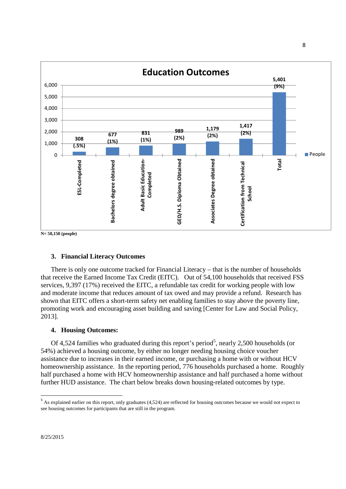

**N= 58,150 (people)**

#### **3. Financial Literacy Outcomes**

There is only one outcome tracked for Financial Literacy – that is the number of households that receive the Earned Income Tax Credit (EITC). Out of 54,100 households that received FSS services, 9,397 (17%) received the EITC, a refundable tax credit for working people with low and moderate income that reduces amount of tax owed and may provide a refund. Research has shown that EITC offers a short-term safety net enabling families to stay above the poverty line, promoting work and encouraging asset building and saving [Center for Law and Social Policy, 2013].

#### **4. Housing Outcomes:**

Of 4,524 families who graduated during this report's period<sup>5</sup>, nearly 2,500 households (or 54%) achieved a housing outcome, by either no longer needing housing choice voucher assistance due to increases in their earned income, or purchasing a home with or without HCV homeownership assistance. In the reporting period, 776 households purchased a home. Roughly half purchased a home with HCV homeownership assistance and half purchased a home without further HUD assistance. The chart below breaks down housing-related outcomes by type.

<sup>&</sup>lt;sup>5</sup> As explained earlier on this report, only graduates (4,524) are reflected for housing outcomes because we would not expect to see housing outcomes for participants that are still in the program.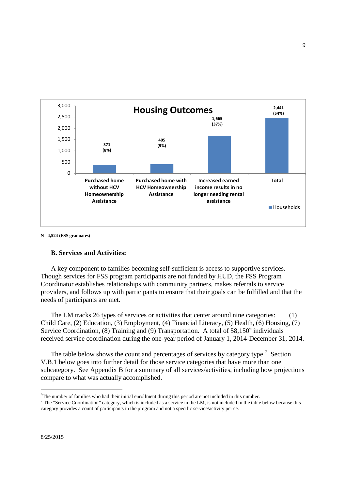

**N= 4,524 (FSS graduates)**

#### **B. Services and Activities:**

A key component to families becoming self-sufficient is access to supportive services. Though services for FSS program participants are not funded by HUD, the FSS Program Coordinator establishes relationships with community partners, makes referrals to service providers, and follows up with participants to ensure that their goals can be fulfilled and that the needs of participants are met.

The LM tracks 26 types of services or activities that center around nine categories: (1) Child Care, (2) Education, (3) Employment, (4) Financial Literacy, (5) Health, (6) Housing, (7) Service Coordination, (8) Training and (9) Transportation. A total of  $58,150^6$  individuals received service coordination during the one-year period of January 1, 2014-December 31, 2014.

The table below shows the count and percentages of services by category type.<sup>7</sup> Section V.B.1 below goes into further detail for those service categories that have more than one subcategory. See Appendix B for a summary of all services/activities, including how projections compare to what was actually accomplished.

<sup>&</sup>lt;sup>6</sup>The number of families who had their initial enrollment during this period are not included in this number.

 $7$  The "Service Coordination" category, which is included as a service in the LM, is not included in the table below because this category provides a count of participants in the program and not a specific service/activity per se.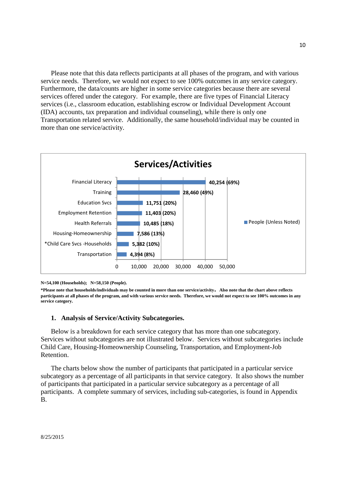Please note that this data reflects participants at all phases of the program, and with various service needs. Therefore, we would not expect to see 100% outcomes in any service category. Furthermore, the data/counts are higher in some service categories because there are several services offered under the category. For example, there are five types of Financial Literacy services (i.e., classroom education, establishing escrow or Individual Development Account (IDA) accounts, tax preparation and individual counseling), while there is only one Transportation related service. Additionally, the same household/individual may be counted in more than one service/activity.



**N=54,100 (Households); N=58,150 (People).**

#### **1. Analysis of Service/Activity Subcategories.**

Below is a breakdown for each service category that has more than one subcategory. Services without subcategories are not illustrated below. Services without subcategories include Child Care, Housing-Homeownership Counseling, Transportation, and Employment-Job Retention.

The charts below show the number of participants that participated in a particular service subcategory as a percentage of all participants in that service category. It also shows the number of participants that participated in a particular service subcategory as a percentage of all participants. A complete summary of services, including sub-categories, is found in Appendix B.

**<sup>\*</sup>Please note that households/individuals may be counted in more than one service/activity. Also note that the chart above reflects participants at all phases of the program, and with various service needs. Therefore, we would not expect to see 100% outcomes in any service category.**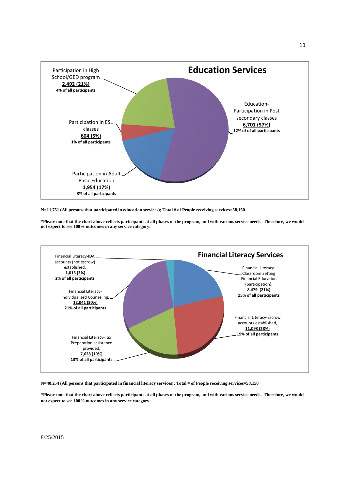

**N=11,751 (All persons that participated in education services); Total # of People receiving services=58,150**

**\*Please note that the chart above reflects participants at all phases of the program, and with various service needs. Therefore, we would not expect to see 100% outcomes in any service category.**



**N=40,254 (All persons that participated in financial literacy services); Total # of People receiving services=58,150**

**\*Please note that the chart above reflects participants at all phases of the program, and with various service needs. Therefore, we would not expect to see 100% outcomes in any service category.**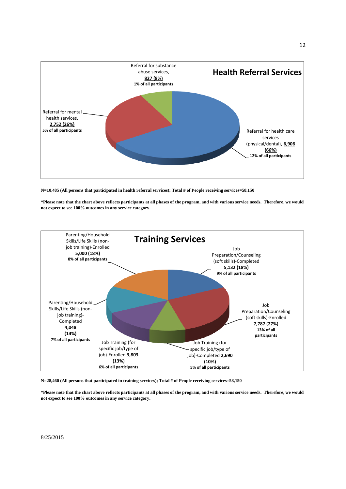

**N=10,485 (All persons that participated in health referral services); Total # of People receiving services=58,150**

**\*Please note that the chart above reflects participants at all phases of the program, and with various service needs. Therefore, we would not expect to see 100% outcomes in any service category.**



**N=28,460 (All persons that participated in training services); Total # of People receiving services=58,150**

**\*Please note that the chart above reflects participants at all phases of the program, and with various service needs. Therefore, we would not expect to see 100% outcomes in any service category.**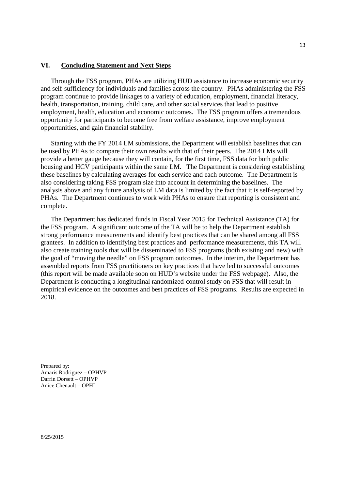#### **VI. Concluding Statement and Next Steps**

Through the FSS program, PHAs are utilizing HUD assistance to increase economic security and self-sufficiency for individuals and families across the country. PHAs administering the FSS program continue to provide linkages to a variety of education, employment, financial literacy, health, transportation, training, child care, and other social services that lead to positive employment, health, education and economic outcomes. The FSS program offers a tremendous opportunity for participants to become free from welfare assistance, improve employment opportunities, and gain financial stability.

Starting with the FY 2014 LM submissions, the Department will establish baselines that can be used by PHAs to compare their own results with that of their peers. The 2014 LMs will provide a better gauge because they will contain, for the first time, FSS data for both public housing and HCV participants within the same LM. The Department is considering establishing these baselines by calculating averages for each service and each outcome. The Department is also considering taking FSS program size into account in determining the baselines. The analysis above and any future analysis of LM data is limited by the fact that it is self-reported by PHAs. The Department continues to work with PHAs to ensure that reporting is consistent and complete.

The Department has dedicated funds in Fiscal Year 2015 for Technical Assistance (TA) for the FSS program. A significant outcome of the TA will be to help the Department establish strong performance measurements and identify best practices that can be shared among all FSS grantees. In addition to identifying best practices and performance measurements, this TA will also create training tools that will be disseminated to FSS programs (both existing and new) with the goal of "moving the needle" on FSS program outcomes. In the interim, the Department has assembled reports from FSS practitioners on key practices that have led to successful outcomes (this report will be made available soon on HUD's website under the FSS webpage). Also, the Department is conducting a longitudinal randomized-control study on FSS that will result in empirical evidence on the outcomes and best practices of FSS programs. Results are expected in 2018.

Prepared by: Amaris Rodriguez – OPHVP Darrin Dorsett – OPHVP Anice Chenault – OPHI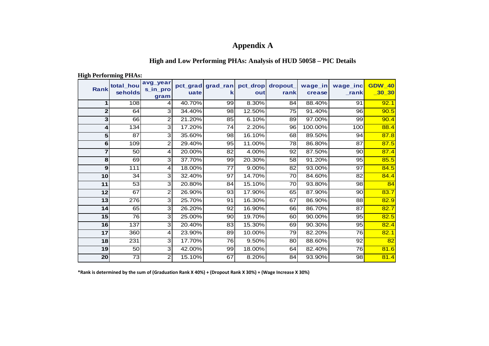# **Appendix A**

### **High and Low Performing PHAs: Analysis of HUD 50058 – PIC Details**

| <b>Rank</b>     | <u>---5-- - 0--0------5 - --- -</u> 0.<br>total_hou<br>seholds | avg_year<br>s_in_pro<br>gram | uate   | pct_grad grad_ran pct_drop<br>ĸ | out    | dropout_<br>rank | wage_in<br>crease | wage_inc<br>$\mathsf{L}$ rank | <b>GDW 40</b><br>$-30 - 30$ |
|-----------------|----------------------------------------------------------------|------------------------------|--------|---------------------------------|--------|------------------|-------------------|-------------------------------|-----------------------------|
|                 | 108                                                            | 4                            | 40.70% | 99                              | 8.30%  | 84               | 88.40%            | 91                            | 92.1                        |
| $\mathbf 2$     | 64                                                             | 3                            | 34.40% | 98                              | 12.50% | 75               | 91.40%            | 96                            | 90.5                        |
| 3               | 66                                                             | 2                            | 21.20% | 85                              | 6.10%  | 89               | 97.00%            | 99                            | 90.4                        |
| 4               | 134                                                            | 3                            | 17.20% | $\overline{74}$                 | 2.20%  | 96               | 100.00%           | 100                           | 88.4                        |
| 5               | 87                                                             | 3                            | 35.60% | 98                              | 16.10% | 68               | 89.50%            | 94                            | 87.8                        |
| 6               | 109                                                            | $\overline{c}$               | 29.40% | 95                              | 11.00% | 78               | 86.80%            | 87                            | 87.5                        |
| $\overline{7}$  | 50                                                             | 4                            | 20.00% | 82                              | 4.00%  | 92               | 87.50%            | 90                            | 87.4                        |
| 8               | 69                                                             | 3                            | 37.70% | 99                              | 20.30% | 58               | 91.20%            | 95                            | 85.5                        |
| 9               | 111                                                            | 4                            | 18.00% | 77                              | 9.00%  | 82               | 93.00%            | 97                            | 84.5                        |
| 10              | 34                                                             | 3                            | 32.40% | 97                              | 14.70% | 70               | 84.60%            | 82                            | 84.4                        |
| 11              | 53                                                             | 3                            | 20.80% | 84                              | 15.10% | 70               | 93.80%            | 98                            | 84                          |
| 12              | 67                                                             | 2                            | 26.90% | 93                              | 17.90% | 65               | 87.90%            | 90                            | 83.7                        |
| $\overline{13}$ | 276                                                            | 3                            | 25.70% | $\overline{91}$                 | 16.30% | 67               | 86.90%            | 88                            | 82.9                        |
| 14              | 65                                                             | 3                            | 26.20% | 92                              | 16.90% | 66               | 86.70%            | 87                            | 82.7                        |
| 15              | 76                                                             | 3                            | 25.00% | 90                              | 19.70% | 60               | 90.00%            | 95                            | 82.5                        |
| 16              | 137                                                            | 3                            | 20.40% | 83                              | 15.30% | 69               | 90.30%            | 95                            | 82.4                        |
| 17              | 360                                                            | 4                            | 23.90% | 89                              | 10.00% | 79               | 82.20%            | 76                            | 82.1                        |
| 18              | 231                                                            | 3                            | 17.70% | 76                              | 9.50%  | 80               | 88.60%            | 92                            | 82                          |
| 19              | 50                                                             | 3                            | 42.00% | 99                              | 18.00% | 64               | 82.40%            | 76                            | 81.6                        |
| 20              | 73                                                             | 2                            | 15.10% | 67                              | 8.20%  | 84               | 93.90%            | 98                            | 81.4                        |

**High Performing PHAs:**

**\*Rank is determined by the sum of (Graduation Rank X 40%) + (Dropout Rank X 30%) + (Wage Increase X 30%)**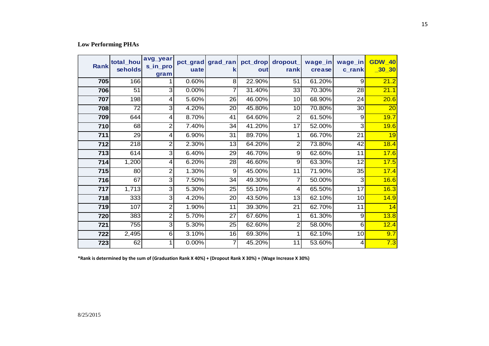### **Low Performing PHAs**

| <b>Rank</b> | total hou<br>seholds | avg_year<br>s_in_pro<br>gram | uate  | pct_grad grad_ran<br>k | pct_drop<br>out | dropout_<br>rank | wage_in<br>crease | wage_in<br>c_rank | <b>GDW 40</b><br>$\boxed{30}$ |
|-------------|----------------------|------------------------------|-------|------------------------|-----------------|------------------|-------------------|-------------------|-------------------------------|
| 705         | 166                  |                              | 0.60% | 8 <sup>1</sup>         | 22.90%          | 51               | 61.20%            | 9                 | 21.2                          |
| 706         | 51                   | 3                            | 0.00% | $\overline{7}$         | 31.40%          | 33               | 70.30%            | 28                | 21.1                          |
| 707         | 198                  | 4                            | 5.60% | 26                     | 46.00%          | 10 <sup>1</sup>  | 68.90%            | 24                | 20.6                          |
| 708         | 72                   | 3                            | 4.20% | 20                     | 45.80%          | 10               | 70.80%            | 30                | $\overline{20}$               |
| 709         | 644                  | 4                            | 8.70% | 41                     | 64.60%          | 2                | 61.50%            | 9                 | 19.7                          |
| 710         | 68                   | $\overline{2}$               | 7.40% | 34                     | 41.20%          | 17               | 52.00%            | $\mathbf{3}$      | 19.6                          |
| 711         | 29                   | 4                            | 6.90% | 31                     | 89.70%          |                  | 66.70%            | 21                | 19                            |
| 712         | 218                  | 2                            | 2.30% | 13                     | 64.20%          | $\overline{2}$   | 73.80%            | 42                | 18.4                          |
| 713         | 614                  | 3                            | 6.40% | 29                     | 46.70%          | 9                | 62.60%            | 11                | 17.6                          |
| 714         | 1,200                | 4                            | 6.20% | 28                     | 46.60%          | $\overline{9}$   | 63.30%            | 12                | 17.5                          |
| 715         | 80                   | $\overline{2}$               | 1.30% | 9                      | 45.00%          | 11               | 71.90%            | 35                | 17.4                          |
| 716         | 67                   | 3                            | 7.50% | 34                     | 49.30%          | 7                | 50.00%            | 3                 | 16.6                          |
| 717         | 1,713                | 3                            | 5.30% | 25                     | 55.10%          | 4                | 65.50%            | 17                | 16.3                          |
| 718         | 333                  | 3                            | 4.20% | 20                     | 43.50%          | 13               | 62.10%            | 10                | 14.9                          |
| 719         | 107                  | 2                            | 1.90% | 11                     | 39.30%          | 21               | 62.70%            | 11                | 14                            |
| 720         | 383                  | $\overline{2}$               | 5.70% | 27                     | 67.60%          |                  | 61.30%            | 9                 | 13.8                          |
| 721         | 755                  | 3                            | 5.30% | 25                     | 62.60%          | $\overline{2}$   | 58.00%            | 6                 | 12.4                          |
| 722         | 2,495                | 6                            | 3.10% | 16                     | 69.30%          |                  | 62.10%            | 10                | 9.7                           |
| 723         | 62                   |                              | 0.00% | 7                      | 45.20%          | 11               | 53.60%            | 4                 | 7.3                           |

**\*Rank is determined by the sum of (Graduation Rank X 40%) + (Dropout Rank X 30%) + (Wage Increase X 30%)**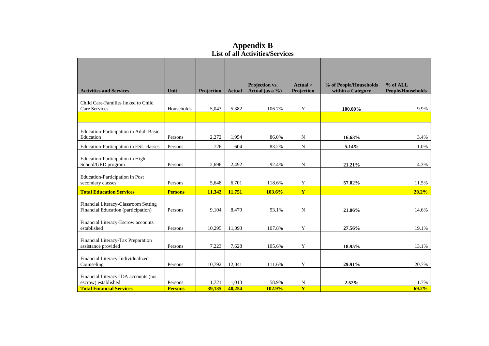|                                                                                                |                           |                 |                 | LIST OF ALL ACTIVILIES/SETVICES |                              |                        |                          |
|------------------------------------------------------------------------------------------------|---------------------------|-----------------|-----------------|---------------------------------|------------------------------|------------------------|--------------------------|
|                                                                                                |                           |                 |                 | Projection vs.                  | Actual >                     | % of People/Households | $%$ of ALL               |
| <b>Activities and Services</b>                                                                 | Unit                      | Projection      | <b>Actual</b>   | Actual (as a $\%$ )             | Projection                   | within a Category      | <b>People/Households</b> |
| Child Care-Families linked to Child<br>Care Services                                           | Households                | 5,043           | 5,382           | 106.7%                          | Y                            | 100.00%                | 9.9%                     |
|                                                                                                |                           |                 |                 |                                 |                              |                        |                          |
| Education-Participation in Adult Basic<br>Education                                            | Persons                   | 2,272           | 1,954           | 86.0%                           | $\mathbf N$                  | 16.63%                 | 3.4%                     |
| Education-Participation in ESL classes                                                         | Persons                   | 726             | 604             | 83.2%                           | ${\bf N}$                    | 5.14%                  | 1.0%                     |
| Education-Participation in High<br>School/GED program                                          | Persons                   | 2,696           | 2,492           | 92.4%                           | ${\bf N}$                    | 21.21%                 | 4.3%                     |
| <b>Education-Participation in Post</b><br>secondary classes                                    | Persons                   | 5,648           | 6,701           | 118.6%                          | Y                            | 57.02%                 | 11.5%                    |
| <b>Total Education Services</b>                                                                | <b>Persons</b>            | 11,342          | 11,751          | 103.6%                          | Y                            |                        | 20.2%                    |
| Financial Literacy-Classroom Setting<br>Financial Education (participation)                    | Persons                   | 9,104           | 8,479           | 93.1%                           | $\mathbf N$                  | 21.06%                 | 14.6%                    |
| Financial Literacy-Escrow accounts<br>established                                              | Persons                   | 10,295          | 11,093          | 107.8%                          | Y                            | 27.56%                 | 19.1%                    |
| Financial Literacy-Tax Preparation<br>assistance provided                                      | Persons                   | 7,223           | 7,628           | 105.6%                          | Y                            | 18.95%                 | 13.1%                    |
| Financial Literacy-Individualized<br>Counseling                                                | Persons                   | 10,792          | 12,041          | 111.6%                          | Y                            | 29.91%                 | 20.7%                    |
| Financial Literacy-IDA accounts (not<br>escrow) established<br><b>Total Financial Services</b> | Persons<br><b>Persons</b> | 1,721<br>39,135 | 1,013<br>40,254 | 58.9%<br>102.9%                 | N<br>$\overline{\mathbf{Y}}$ | 2.52%                  | 1.7%<br>69.2%            |

**Appendix B List of all Activities/Services**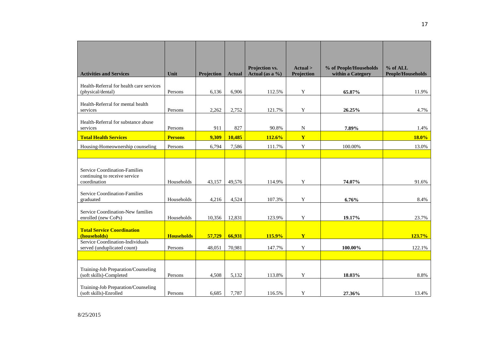| <b>Activities and Services</b>                                                 | Unit              | Projection | <b>Actual</b> | Projection vs.<br>Actual (as a $\%$ ) | Actual ><br>Projection | % of People/Households<br>within a Category | % of ALL<br><b>People/Households</b> |
|--------------------------------------------------------------------------------|-------------------|------------|---------------|---------------------------------------|------------------------|---------------------------------------------|--------------------------------------|
| Health-Referral for health care services<br>(physical/dental)                  | Persons           | 6.136      | 6,906         | 112.5%                                | Y                      | 65.87%                                      | 11.9%                                |
| Health-Referral for mental health<br>services                                  | Persons           | 2,262      | 2,752         | 121.7%                                | $\mathbf Y$            | 26.25%                                      | 4.7%                                 |
| Health-Referral for substance abuse<br>services                                | Persons           | 911        | 827           | 90.8%                                 | $\mathbf N$            | 7.89%                                       | 1.4%                                 |
| <b>Total Health Services</b>                                                   | <b>Persons</b>    | 9,309      | 10,485        | 112.6%                                | Y                      |                                             | 18.0%                                |
| Housing-Homeownership counseling                                               | Persons           | 6,794      | 7,586         | 111.7%                                | $\mathbf Y$            | 100.00%                                     | 13.0%                                |
|                                                                                |                   |            |               |                                       |                        |                                             |                                      |
| Service Coordination-Families<br>continuing to receive service<br>coordination | Households        | 43,157     | 49,576        | 114.9%                                | Y                      | 74.07%                                      | 91.6%                                |
| Service Coordination-Families<br>graduated                                     | Households        | 4,216      | 4,524         | 107.3%                                | Y                      | 6.76%                                       | 8.4%                                 |
| Service Coordination-New families<br>enrolled (new CoPs)                       | Households        | 10,356     | 12,831        | 123.9%                                | $\mathbf Y$            | 19.17%                                      | 23.7%                                |
| <b>Total Service Coordination</b><br>(households)                              | <b>Households</b> | 57,729     | 66,931        | 115.9%                                | Y                      |                                             | 123.7%                               |
| Service Coordination-Individuals<br>served (unduplicated count)                | Persons           | 48,051     | 70,981        | 147.7%                                | Y                      | 100.00%                                     | 122.1%                               |
|                                                                                |                   |            |               |                                       |                        |                                             |                                      |
| Training-Job Preparation/Counseling<br>(soft skills)-Completed                 | Persons           | 4.508      | 5,132         | 113.8%                                | Y                      | 18.03%                                      | 8.8%                                 |
| Training-Job Preparation/Counseling<br>(soft skills)-Enrolled                  | Persons           | 6,685      | 7,787         | 116.5%                                | Y                      | 27.36%                                      | 13.4%                                |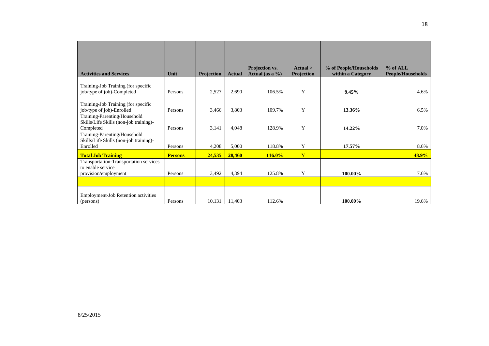| <b>Activities and Services</b>                                                      | Unit           | Projection | <b>Actual</b> | Projection vs.<br>Actual (as a $\%$ ) | Actual ><br>Projection | % of People/Households<br>within a Category | $%$ of ALL<br><b>People/Households</b> |
|-------------------------------------------------------------------------------------|----------------|------------|---------------|---------------------------------------|------------------------|---------------------------------------------|----------------------------------------|
| Training-Job Training (for specific<br>job/type of job)-Completed                   | Persons        | 2,527      | 2,690         | 106.5%                                | Y                      | 9.45%                                       | 4.6%                                   |
| Training-Job Training (for specific<br>job/type of job)-Enrolled                    | Persons        | 3,466      | 3,803         | 109.7%                                | Y                      | 13.36%                                      | 6.5%                                   |
| Training-Parenting/Household<br>Skills/Life Skills (non-job training)-<br>Completed | Persons        | 3,141      | 4,048         | 128.9%                                | Y                      | 14.22%                                      | 7.0%                                   |
| Training-Parenting/Household<br>Skills/Life Skills (non-job training)-<br>Enrolled  | Persons        | 4,208      | 5,000         | 118.8%                                | Y                      | 17.57%                                      | 8.6%                                   |
| <b>Total Job Training</b>                                                           | <b>Persons</b> | 24,535     | 28,460        | <b>116.0%</b>                         | Y                      |                                             | 48.9%                                  |
| Transportation-Transportation services<br>to enable service<br>provision/employment | Persons        | 3,492      | 4,394         | 125.8%                                | Y                      | 100.00%                                     | 7.6%                                   |
|                                                                                     |                |            |               |                                       |                        |                                             |                                        |
| Employment-Job Retention activities<br>(persons)                                    | Persons        | 10,131     | 11,403        | 112.6%                                |                        | 100.00%                                     | 19.6%                                  |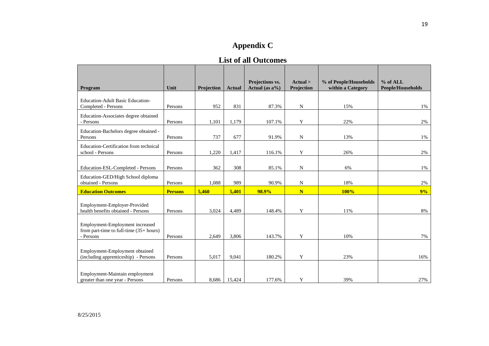# **List of all Outcomes**

|                                                                        | Unit           |            |               | Projections vs.    | Actual >    | % of People/Households<br>within a Category | $%$ of ALL        |
|------------------------------------------------------------------------|----------------|------------|---------------|--------------------|-------------|---------------------------------------------|-------------------|
| Program                                                                |                | Projection | <b>Actual</b> | Actual (as $a\%$ ) | Projection  |                                             | People/Households |
| <b>Education-Adult Basic Education-</b>                                |                |            |               |                    |             |                                             |                   |
| Completed - Persons                                                    | Persons        | 952        | 831           | 87.3%              | ${\bf N}$   | 15%                                         | 1%                |
| Education-Associates degree obtained                                   |                |            |               |                    |             |                                             |                   |
| - Persons                                                              | Persons        | 1,101      | 1,179         | 107.1%             | Y           | 22%                                         | 2%                |
| Education-Bachelors degree obtained -                                  |                |            |               |                    |             |                                             |                   |
| Persons                                                                | Persons        | 737        | 677           | 91.9%              | $\mathbf N$ | 13%                                         | 1%                |
| Education-Certification from technical                                 |                |            |               |                    |             |                                             |                   |
| school - Persons                                                       | Persons        | 1,220      | 1,417         | 116.1%             | $\mathbf Y$ | 26%                                         | 2%                |
|                                                                        |                | 362        | 308           | 85.1%              | N           | 6%                                          | 1%                |
| Education-ESL-Completed - Persons                                      | Persons        |            |               |                    |             |                                             |                   |
| Education-GED/High School diploma<br>obtained - Persons                | Persons        | 1,088      | 989           | 90.9%              | ${\bf N}$   | 18%                                         | 2%                |
|                                                                        |                |            |               |                    |             |                                             |                   |
| <b>Education Outcomes</b>                                              | <b>Persons</b> | 5,460      | 5,401         | 98.9%              | N           | <b>100%</b>                                 | 9%                |
| Employment-Employer-Provided                                           |                |            |               |                    |             |                                             |                   |
| health benefits obtained - Persons                                     | Persons        | 3,024      | 4,489         | 148.4%             | Y           | 11%                                         | 8%                |
|                                                                        |                |            |               |                    |             |                                             |                   |
| Employment-Employment increased                                        |                |            |               |                    |             |                                             |                   |
| from part-time to full-time (35+ hours)                                |                |            |               |                    |             |                                             |                   |
| - Persons                                                              | Persons        | 2,649      | 3,806         | 143.7%             | Y           | 10%                                         | 7%                |
|                                                                        |                |            |               |                    |             |                                             |                   |
| Employment-Employment obtained<br>(including apprenticeship) - Persons | Persons        | 5,017      | 9,041         | 180.2%             | Y           | 23%                                         | 16%               |
|                                                                        |                |            |               |                    |             |                                             |                   |
|                                                                        |                |            |               |                    |             |                                             |                   |
| Employment-Maintain employment<br>greater than one year - Persons      | Persons        | 8,686      | 15,424        | 177.6%             | Y           | 39%                                         | 27%               |